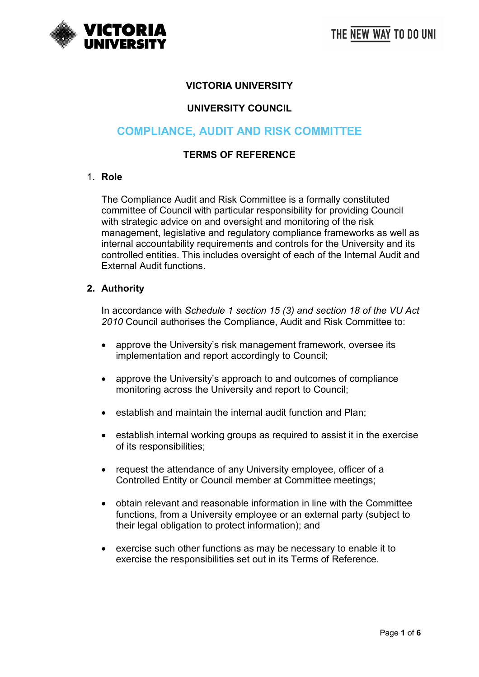

# **VICTORIA UNIVERSITY**

# **UNIVERSITY COUNCIL**

# **COMPLIANCE, AUDIT AND RISK COMMITTEE**

#### **TERMS OF REFERENCE**

#### 1. **Role**

The Compliance Audit and Risk Committee is a formally constituted committee of Council with particular responsibility for providing Council with strategic advice on and oversight and monitoring of the risk management, legislative and regulatory compliance frameworks as well as internal accountability requirements and controls for the University and its controlled entities. This includes oversight of each of the Internal Audit and External Audit functions.

#### **2. Authority**

In accordance with *Schedule 1 section 15 (3) and section 18 of the VU Act 2010* Council authorises the Compliance, Audit and Risk Committee to:

- approve the University's risk management framework, oversee its implementation and report accordingly to Council;
- approve the University's approach to and outcomes of compliance monitoring across the University and report to Council;
- establish and maintain the internal audit function and Plan;
- establish internal working groups as required to assist it in the exercise of its responsibilities;
- request the attendance of any University employee, officer of a Controlled Entity or Council member at Committee meetings;
- obtain relevant and reasonable information in line with the Committee functions, from a University employee or an external party (subject to their legal obligation to protect information); and
- exercise such other functions as may be necessary to enable it to exercise the responsibilities set out in its Terms of Reference.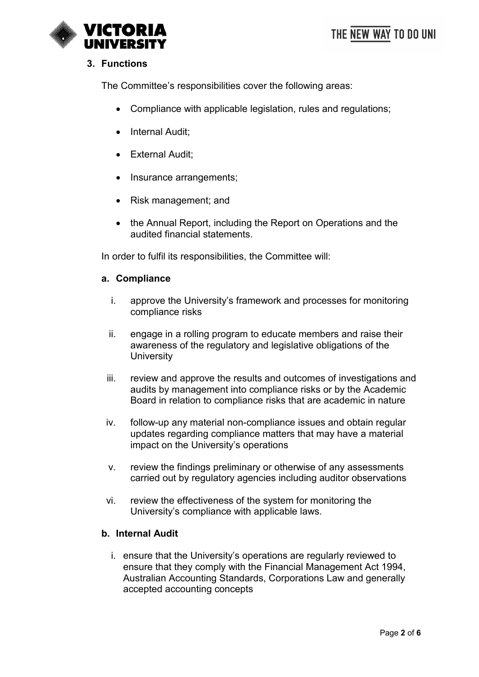

# **3. Functions**

The Committee's responsibilities cover the following areas:

- Compliance with applicable legislation, rules and regulations;
- Internal Audit;
- External Audit;
- Insurance arrangements;
- Risk management; and
- the Annual Report, including the Report on Operations and the audited financial statements.

In order to fulfil its responsibilities, the Committee will:

#### **a. Compliance**

- i. approve the University's framework and processes for monitoring compliance risks
- ii. engage in a rolling program to educate members and raise their awareness of the regulatory and legislative obligations of the **University**
- iii. review and approve the results and outcomes of investigations and audits by management into compliance risks or by the Academic Board in relation to compliance risks that are academic in nature
- iv. follow-up any material non-compliance issues and obtain regular updates regarding compliance matters that may have a material impact on the University's operations
- v. review the findings preliminary or otherwise of any assessments carried out by regulatory agencies including auditor observations
- vi. review the effectiveness of the system for monitoring the University's compliance with applicable laws.

## **b. Internal Audit**

i. ensure that the University's operations are regularly reviewed to ensure that they comply with the Financial Management Act 1994, Australian Accounting Standards, Corporations Law and generally accepted accounting concepts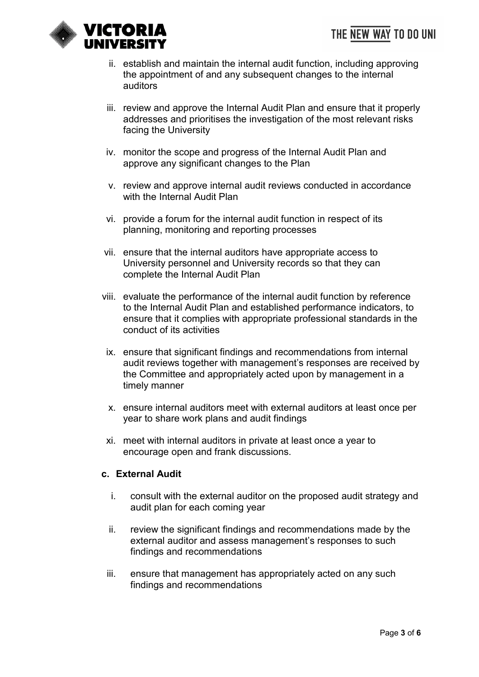THE NEW WAY TO DO UNI



- ii. establish and maintain the internal audit function, including approving the appointment of and any subsequent changes to the internal auditors
- iii. review and approve the Internal Audit Plan and ensure that it properly addresses and prioritises the investigation of the most relevant risks facing the University
- iv. monitor the scope and progress of the Internal Audit Plan and approve any significant changes to the Plan
- v. review and approve internal audit reviews conducted in accordance with the Internal Audit Plan
- vi. provide a forum for the internal audit function in respect of its planning, monitoring and reporting processes
- vii. ensure that the internal auditors have appropriate access to University personnel and University records so that they can complete the Internal Audit Plan
- viii. evaluate the performance of the internal audit function by reference to the Internal Audit Plan and established performance indicators, to ensure that it complies with appropriate professional standards in the conduct of its activities
- ix. ensure that significant findings and recommendations from internal audit reviews together with management's responses are received by the Committee and appropriately acted upon by management in a timely manner
- x. ensure internal auditors meet with external auditors at least once per year to share work plans and audit findings
- xi. meet with internal auditors in private at least once a year to encourage open and frank discussions.

## **c. External Audit**

- i. consult with the external auditor on the proposed audit strategy and audit plan for each coming year
- ii. review the significant findings and recommendations made by the external auditor and assess management's responses to such findings and recommendations
- iii. ensure that management has appropriately acted on any such findings and recommendations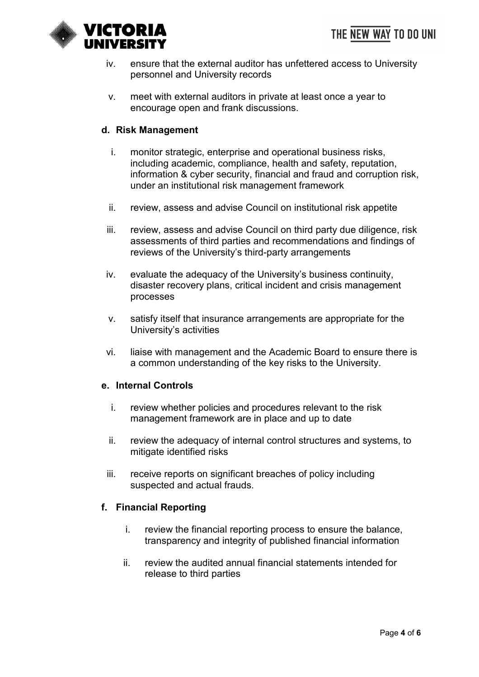

- iv. ensure that the external auditor has unfettered access to University personnel and University records
- v. meet with external auditors in private at least once a year to encourage open and frank discussions.

## **d. Risk Management**

- i. monitor strategic, enterprise and operational business risks, including academic, compliance, health and safety, reputation, information & cyber security, financial and fraud and corruption risk, under an institutional risk management framework
- ii. review, assess and advise Council on institutional risk appetite
- iii. review, assess and advise Council on third party due diligence, risk assessments of third parties and recommendations and findings of reviews of the University's third-party arrangements
- iv. evaluate the adequacy of the University's business continuity, disaster recovery plans, critical incident and crisis management processes
- v. satisfy itself that insurance arrangements are appropriate for the University's activities
- vi. liaise with management and the Academic Board to ensure there is a common understanding of the key risks to the University.

## **e. Internal Controls**

- i. review whether policies and procedures relevant to the risk management framework are in place and up to date
- ii. review the adequacy of internal control structures and systems, to mitigate identified risks
- iii. receive reports on significant breaches of policy including suspected and actual frauds.

## **f. Financial Reporting**

- i. review the financial reporting process to ensure the balance, transparency and integrity of published financial information
- ii. review the audited annual financial statements intended for release to third parties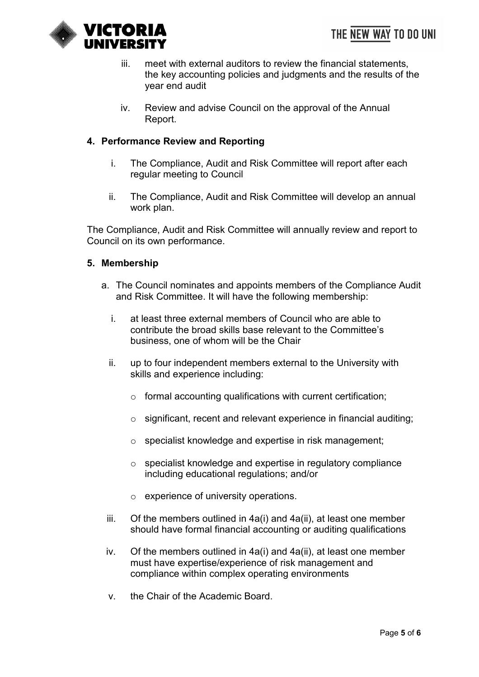

- iii. meet with external auditors to review the financial statements, the key accounting policies and judgments and the results of the year end audit
- iv. Review and advise Council on the approval of the Annual Report.

# **4. Performance Review and Reporting**

- i. The Compliance, Audit and Risk Committee will report after each regular meeting to Council
- ii. The Compliance, Audit and Risk Committee will develop an annual work plan.

The Compliance, Audit and Risk Committee will annually review and report to Council on its own performance.

#### **5. Membership**

- a. The Council nominates and appoints members of the Compliance Audit and Risk Committee. It will have the following membership:
	- i. at least three external members of Council who are able to contribute the broad skills base relevant to the Committee's business, one of whom will be the Chair
	- ii. up to four independent members external to the University with skills and experience including:
		- $\circ$  formal accounting qualifications with current certification;
		- o significant, recent and relevant experience in financial auditing;
		- o specialist knowledge and expertise in risk management;
		- o specialist knowledge and expertise in regulatory compliance including educational regulations; and/or
		- o experience of university operations.
	- iii. Of the members outlined in 4a(i) and 4a(ii), at least one member should have formal financial accounting or auditing qualifications
	- iv. Of the members outlined in 4a(i) and 4a(ii), at least one member must have expertise/experience of risk management and compliance within complex operating environments
	- v. the Chair of the Academic Board.